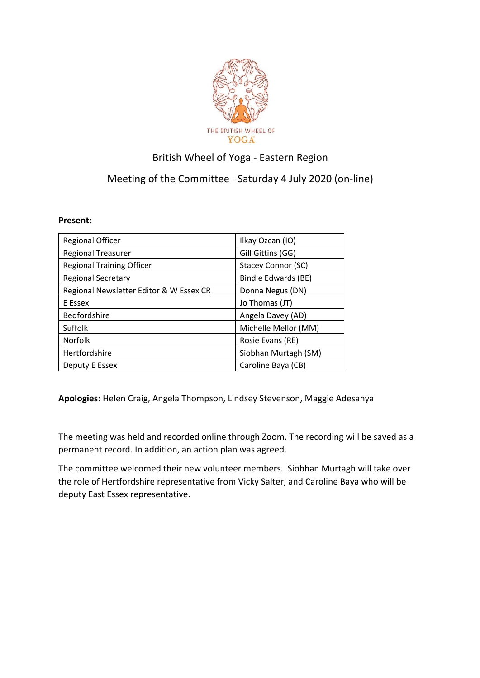

## British Wheel of Yoga - Eastern Region

## Meeting of the Committee –Saturday 4 July 2020 (on-line)

## **Present:**

| <b>Regional Officer</b>                 | Ilkay Ozcan (IO)     |
|-----------------------------------------|----------------------|
| <b>Regional Treasurer</b>               | Gill Gittins (GG)    |
| <b>Regional Training Officer</b>        | Stacey Connor (SC)   |
| <b>Regional Secretary</b>               | Bindie Edwards (BE)  |
| Regional Newsletter Editor & W Essex CR | Donna Negus (DN)     |
| E Essex                                 | Jo Thomas (JT)       |
| Bedfordshire                            | Angela Davey (AD)    |
| Suffolk                                 | Michelle Mellor (MM) |
| <b>Norfolk</b>                          | Rosie Evans (RE)     |
| Hertfordshire                           | Siobhan Murtagh (SM) |
| Deputy E Essex                          | Caroline Baya (CB)   |

**Apologies:** Helen Craig, Angela Thompson, Lindsey Stevenson, Maggie Adesanya

The meeting was held and recorded online through Zoom. The recording will be saved as a permanent record. In addition, an action plan was agreed.

The committee welcomed their new volunteer members. Siobhan Murtagh will take over the role of Hertfordshire representative from Vicky Salter, and Caroline Baya who will be deputy East Essex representative.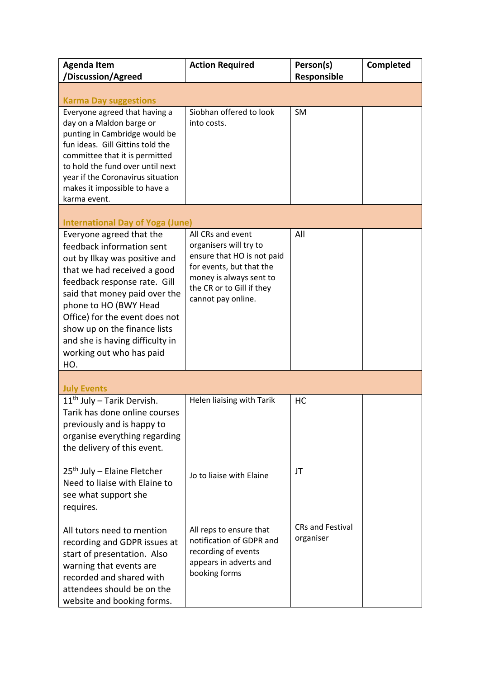| <b>Agenda Item</b><br>/Discussion/Agreed                                                                                                                                                                                                                                                                                                                | <b>Action Required</b>                                                                                                                                                              | Person(s)<br>Responsible             | <b>Completed</b> |
|---------------------------------------------------------------------------------------------------------------------------------------------------------------------------------------------------------------------------------------------------------------------------------------------------------------------------------------------------------|-------------------------------------------------------------------------------------------------------------------------------------------------------------------------------------|--------------------------------------|------------------|
| <b>Karma Day suggestions</b>                                                                                                                                                                                                                                                                                                                            |                                                                                                                                                                                     |                                      |                  |
| Everyone agreed that having a<br>day on a Maldon barge or<br>punting in Cambridge would be<br>fun ideas. Gill Gittins told the<br>committee that it is permitted<br>to hold the fund over until next<br>year if the Coronavirus situation<br>makes it impossible to have a<br>karma event.                                                              | Siobhan offered to look<br>into costs.                                                                                                                                              | <b>SM</b>                            |                  |
| <b>International Day of Yoga (June)</b>                                                                                                                                                                                                                                                                                                                 |                                                                                                                                                                                     |                                      |                  |
| Everyone agreed that the<br>feedback information sent<br>out by Ilkay was positive and<br>that we had received a good<br>feedback response rate. Gill<br>said that money paid over the<br>phone to HO (BWY Head<br>Office) for the event does not<br>show up on the finance lists<br>and she is having difficulty in<br>working out who has paid<br>HO. | All CRs and event<br>organisers will try to<br>ensure that HO is not paid<br>for events, but that the<br>money is always sent to<br>the CR or to Gill if they<br>cannot pay online. | All                                  |                  |
| <b>July Events</b>                                                                                                                                                                                                                                                                                                                                      |                                                                                                                                                                                     |                                      |                  |
| $11th$ July – Tarik Dervish.<br>Tarik has done online courses<br>previously and is happy to<br>organise everything regarding<br>the delivery of this event.                                                                                                                                                                                             | Helen liaising with Tarik                                                                                                                                                           | HC                                   |                  |
| $25th$ July – Elaine Fletcher<br>Need to liaise with Elaine to<br>see what support she<br>requires.                                                                                                                                                                                                                                                     | Jo to liaise with Elaine                                                                                                                                                            | JT                                   |                  |
| All tutors need to mention<br>recording and GDPR issues at<br>start of presentation. Also<br>warning that events are<br>recorded and shared with<br>attendees should be on the<br>website and booking forms.                                                                                                                                            | All reps to ensure that<br>notification of GDPR and<br>recording of events<br>appears in adverts and<br>booking forms                                                               | <b>CRs and Festival</b><br>organiser |                  |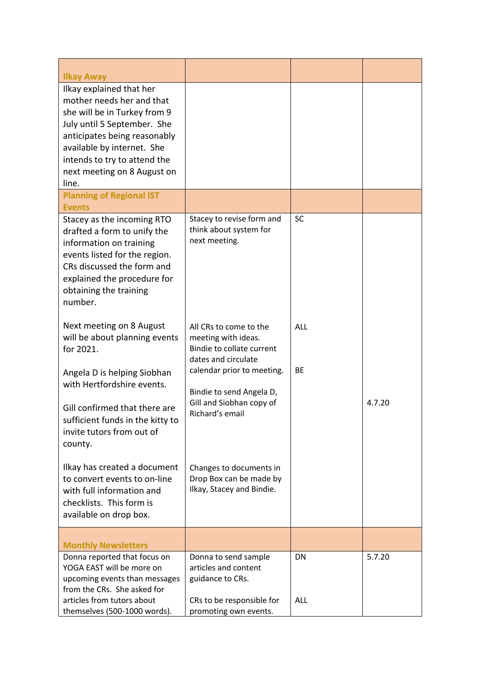| <b>Ilkay Away</b>                                                                                                                                                                                                                                          |                                                                                                   |            |        |
|------------------------------------------------------------------------------------------------------------------------------------------------------------------------------------------------------------------------------------------------------------|---------------------------------------------------------------------------------------------------|------------|--------|
| Ilkay explained that her<br>mother needs her and that<br>she will be in Turkey from 9<br>July until 5 September. She<br>anticipates being reasonably<br>available by internet. She<br>intends to try to attend the<br>next meeting on 8 August on<br>line. |                                                                                                   |            |        |
| <b>Planning of Regional IST</b><br><b>Events</b>                                                                                                                                                                                                           |                                                                                                   |            |        |
| Stacey as the incoming RTO<br>drafted a form to unify the<br>information on training<br>events listed for the region.<br>CRs discussed the form and<br>explained the procedure for<br>obtaining the training<br>number.                                    | Stacey to revise form and<br>think about system for<br>next meeting.                              | <b>SC</b>  |        |
| Next meeting on 8 August<br>will be about planning events<br>for 2021.                                                                                                                                                                                     | All CRs to come to the<br>meeting with ideas.<br>Bindie to collate current<br>dates and circulate | <b>ALL</b> |        |
| Angela D is helping Siobhan<br>with Hertfordshire events.                                                                                                                                                                                                  | calendar prior to meeting.<br>Bindie to send Angela D,                                            | <b>BE</b>  |        |
| Gill confirmed that there are<br>sufficient funds in the kitty to<br>invite tutors from out of<br>county.                                                                                                                                                  | Gill and Siobhan copy of<br>Richard's email                                                       |            | 4.7.20 |
| Ilkay has created a document<br>to convert events to on-line<br>with full information and<br>checklists. This form is<br>available on drop box.                                                                                                            | Changes to documents in<br>Drop Box can be made by<br>Ilkay, Stacey and Bindie.                   |            |        |
| <b>Monthly Newsletters</b>                                                                                                                                                                                                                                 |                                                                                                   |            |        |
| Donna reported that focus on<br>YOGA EAST will be more on<br>upcoming events than messages<br>from the CRs. She asked for                                                                                                                                  | Donna to send sample<br>articles and content<br>guidance to CRs.                                  | <b>DN</b>  | 5.7.20 |
| articles from tutors about<br>themselves (500-1000 words).                                                                                                                                                                                                 | CRs to be responsible for<br>promoting own events.                                                | ALL        |        |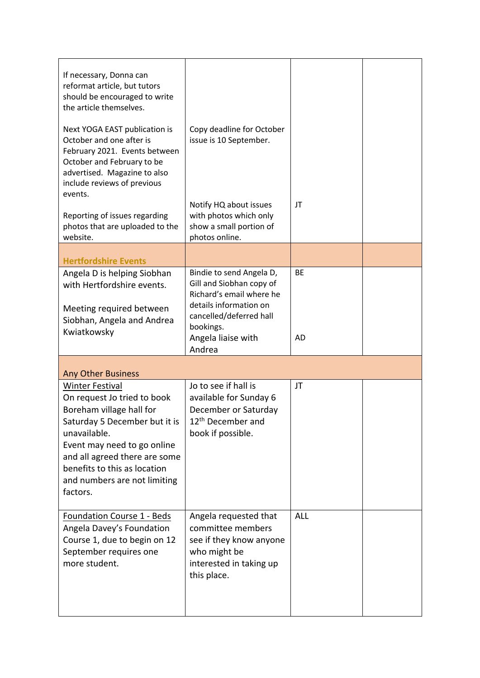| If necessary, Donna can<br>reformat article, but tutors<br>should be encouraged to write<br>the article themselves.                                                                                                                                                            |                                                                                                                                                                          |                        |  |
|--------------------------------------------------------------------------------------------------------------------------------------------------------------------------------------------------------------------------------------------------------------------------------|--------------------------------------------------------------------------------------------------------------------------------------------------------------------------|------------------------|--|
| Next YOGA EAST publication is<br>October and one after is<br>February 2021. Events between<br>October and February to be<br>advertised. Magazine to also<br>include reviews of previous                                                                                        | Copy deadline for October<br>issue is 10 September.                                                                                                                      |                        |  |
| events.<br>Reporting of issues regarding<br>photos that are uploaded to the<br>website.                                                                                                                                                                                        | Notify HQ about issues<br>with photos which only<br>show a small portion of<br>photos online.                                                                            | JT                     |  |
| <b>Hertfordshire Events</b>                                                                                                                                                                                                                                                    |                                                                                                                                                                          |                        |  |
| Angela D is helping Siobhan<br>with Hertfordshire events.<br>Meeting required between<br>Siobhan, Angela and Andrea<br>Kwiatkowsky                                                                                                                                             | Bindie to send Angela D,<br>Gill and Siobhan copy of<br>Richard's email where he<br>details information on<br>cancelled/deferred hall<br>bookings.<br>Angela liaise with | <b>BE</b><br><b>AD</b> |  |
|                                                                                                                                                                                                                                                                                | Andrea                                                                                                                                                                   |                        |  |
| <b>Any Other Business</b>                                                                                                                                                                                                                                                      |                                                                                                                                                                          |                        |  |
| <b>Winter Festival</b><br>On request Jo tried to book<br>Boreham village hall for<br>Saturday 5 December but it is<br>unavailable.<br>Event may need to go online<br>and all agreed there are some<br>benefits to this as location<br>and numbers are not limiting<br>factors. | Jo to see if hall is<br>available for Sunday 6<br>December or Saturday<br>12 <sup>th</sup> December and<br>book if possible.                                             | JT                     |  |
| Foundation Course 1 - Beds<br>Angela Davey's Foundation<br>Course 1, due to begin on 12<br>September requires one<br>more student.                                                                                                                                             | Angela requested that<br>committee members<br>see if they know anyone<br>who might be<br>interested in taking up<br>this place.                                          | <b>ALL</b>             |  |